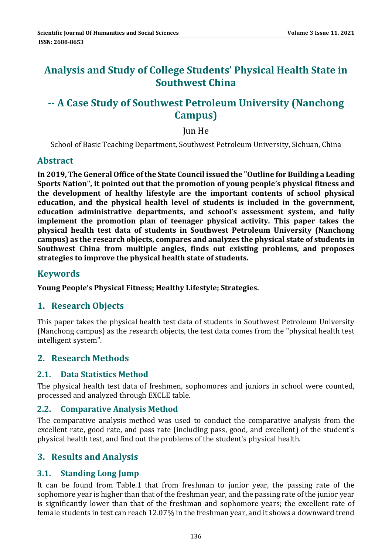# **Analysis and Study of College Students' Physical Health State in Southwest China**

# **‐‐ A Case Study of Southwest Petroleum University (Nanchong Campus)**

### **Jun He**

School of Basic Teaching Department, Southwest Petroleum University, Sichuan, China

### **Abstract**

**In 2019, The General Office ofthe State Council issued the "Outline for Building a Leading Sports Nation", it pointed out that the promotion of young people's physical fitness and the development of healthy lifestyle are the important contents of school physical education, and the physical health level of students is included in the government, education administrative departments, and school's assessment system, and fully implement the promotion plan of teenager physical activity. This paper takes the physical health test data of students in Southwest Petroleum University (Nanchong campus) as the research objects, compares and analyzes the physical state of students in Southwest China from multiple angles, finds out existing problems, and proposes strategies to improve the physical health state of students.**

### **Keywords**

**Young People's Physical Fitness; Healthy Lifestyle; Strategies.**

### **1. Research Objects**

This paper takes the physical health test data of students in Southwest Petroleum University (Nanchong campus) as the research objects, the test data comes from the "physical health test" intelligent system".

### **2. Research Methods**

#### **2.1. Data Statistics Method**

The physical health test data of freshmen, sophomores and juniors in school were counted, processed and analyzed through EXCLE table.

#### **2.2. Comparative Analysis Method**

The comparative analysis method was used to conduct the comparative analysis from the excellent rate, good rate, and pass rate (including pass, good, and excellent) of the student's physical health test, and find out the problems of the student's physical health.

### **3. Results and Analysis**

### **3.1. Standing Long Jump**

It can be found from Table.1 that from freshman to junior year, the passing rate of the sophomore year is higher than that of the freshman year, and the passing rate of the junior year is significantly lower than that of the freshman and sophomore years; the excellent rate of female students in test can reach 12.07% in the freshman year, and it shows a downward trend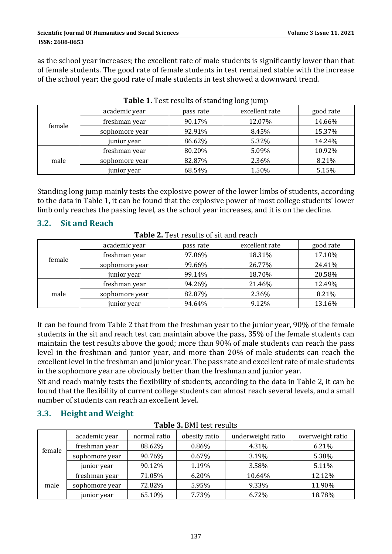as the school year increases; the excellent rate of male students is significantly lower than that of female students. The good rate of female students in test remained stable with the increase of the school year; the good rate of male students in test showed a downward trend.

|        | academic year  | pass rate | excellent rate | good rate |
|--------|----------------|-----------|----------------|-----------|
|        | freshman year  | 90.17%    | 12.07%         | 14.66%    |
| female | sophomore year | 92.91%    | 8.45%          | 15.37%    |
|        | junior year    | 86.62%    | 5.32%          | 14.24%    |
| male   | freshman year  | 80.20%    | 5.09%          | 10.92%    |
|        | sophomore year | 82.87%    | 2.36%          | 8.21%     |
|        | junior year    | 68.54%    | 1.50%          | 5.15%     |

**Table 1.** Test results of standing long jump

Standing long jump mainly tests the explosive power of the lower limbs of students, according to the data in Table 1, it can be found that the explosive power of most college students' lower limb only reaches the passing level, as the school year increases, and it is on the decline.

## **3.2. Sit and Reach**

| <b>Table 2.</b> Test results of sit and reach |                |           |                |           |  |
|-----------------------------------------------|----------------|-----------|----------------|-----------|--|
|                                               | academic year  | pass rate | excellent rate | good rate |  |
|                                               | freshman year  | 97.06%    | 18.31%         | 17.10%    |  |
| female                                        | sophomore year | 99.66%    | 26.77%         | 24.41%    |  |
|                                               | junior year    | 99.14%    | 18.70%         | 20.58%    |  |
|                                               | freshman year  | 94.26%    | 21.46%         | 12.49%    |  |
| male                                          | sophomore year | 82.87%    | 2.36%          | 8.21%     |  |
|                                               | junior year    | 94.64%    | 9.12%          | 13.16%    |  |

It can be found from Table 2 that from the freshman year to the junior year, 90% of the female students in the sit and reach test can maintain above the pass, 35% of the female students can maintain the test results above the good; more than  $90\%$  of male students can reach the pass level in the freshman and junior year, and more than 20% of male students can reach the excellent level in the freshman and junior year. The pass rate and excellent rate of male students in the sophomore vear are obviously better than the freshman and junior vear.

Sit and reach mainly tests the flexibility of students, according to the data in Table 2, it can be found that the flexibility of current college students can almost reach several levels, and a small number of students can reach an excellent level.

# **3.3. Height and Weight**

| 1 avit 9. DIII tëst i Could |                |              |               |                   |                  |  |
|-----------------------------|----------------|--------------|---------------|-------------------|------------------|--|
|                             | academic year  | normal ratio | obesity ratio | underweight ratio | overweight ratio |  |
|                             | freshman year  | 88.62%       | 0.86%         | 4.31%             | 6.21%            |  |
| female                      | sophomore year | 90.76%       | 0.67%         | 3.19%             | 5.38%            |  |
|                             | junior year    | 90.12%       | 1.19%         | 3.58%             | 5.11%            |  |
|                             | freshman year  | 71.05%       | 6.20%         | 10.64%            | 12.12%           |  |
| male                        | sophomore year | 72.82%       | 5.95%         | 9.33%             | 11.90%           |  |
|                             | junior year    | 65.10%       | 7.73%         | 6.72%             | 18.78%           |  |

**Table 3. BMI** test results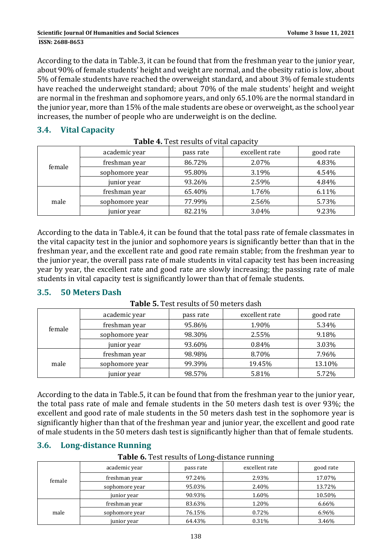According to the data in Table.3, it can be found that from the freshman year to the junior year, about 90% of female students' height and weight are normal, and the obesity ratio is low, about 5% of female students have reached the overweight standard, and about 3% of female students have reached the underweight standard; about 70% of the male students' height and weight are normal in the freshman and sophomore vears, and only 65.10% are the normal standard in the junior vear, more than 15% of the male students are obese or overweight, as the school vear increases, the number of people who are underweight is on the decline.

### **3.4. Vital Capacity**

| female | academic year  | pass rate | excellent rate | good rate |  |
|--------|----------------|-----------|----------------|-----------|--|
|        | freshman year  | 86.72%    | 2.07%          | 4.83%     |  |
|        | sophomore year | 95.80%    | 3.19%          | 4.54%     |  |
|        | junior year    | 93.26%    | 2.59%          | 4.84%     |  |
|        | freshman year  | 65.40%    | 1.76%          | 6.11%     |  |
| male   | sophomore year | 77.99%    | 2.56%          | 5.73%     |  |
|        | junior year    | 82.21%    | 3.04%          | 9.23%     |  |

**Table 4.** Test results of vital capacity

According to the data in Table.4, it can be found that the total pass rate of female classmates in the vital capacity test in the junior and sophomore years is significantly better than that in the freshman year, and the excellent rate and good rate remain stable; from the freshman year to the junior year, the overall pass rate of male students in vital capacity test has been increasing year by year, the excellent rate and good rate are slowly increasing; the passing rate of male students in vital capacity test is significantly lower than that of female students.

### **3.5. 50 Meters Dash**

|        | academic year  | pass rate | excellent rate | good rate |
|--------|----------------|-----------|----------------|-----------|
|        | freshman year  | 95.86%    | 1.90%          | 5.34%     |
| female | sophomore year | 98.30%    | 2.55%          | 9.18%     |
|        | junior year    | 93.60%    | 0.84%          | 3.03%     |
|        | freshman year  | 98.98%    | 8.70%          | 7.96%     |
| male   | sophomore year | 99.39%    | 19.45%         | 13.10%    |
|        | junior year    | 98.57%    | 5.81%          | 5.72%     |

**Table 5**. Test results of 50 meters dash

According to the data in Table.5, it can be found that from the freshman year to the junior year, the total pass rate of male and female students in the 50 meters dash test is over 93%; the excellent and good rate of male students in the 50 meters dash test in the sophomore year is significantly higher than that of the freshman year and junior year, the excellent and good rate of male students in the 50 meters dash test is significantly higher than that of female students.

# **3.6. Long‐distance Running**

**Table 6.** Test results of Long-distance running

|        | academic year  | pass rate | excellent rate | good rate |
|--------|----------------|-----------|----------------|-----------|
| female | freshman year  | 97.24%    | 2.93%          | 17.07%    |
|        | sophomore year | 95.03%    | 2.40%          | 13.72%    |
|        | junior year    | 90.93%    | 1.60%          | 10.50%    |
|        | freshman year  | 83.63%    | 1.20%          | 6.66%     |
| male   | sophomore year | 76.15%    | 0.72%          | 6.96%     |
|        | junior year    | 64.43%    | 0.31%          | 3.46%     |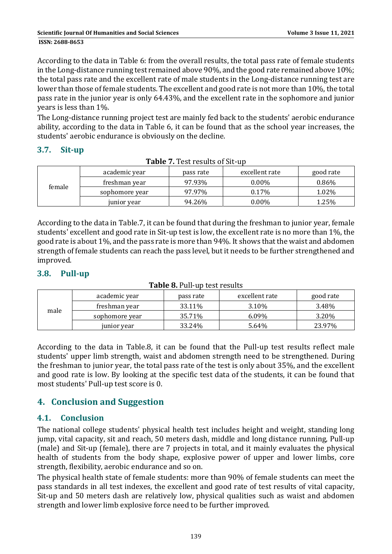According to the data in Table 6: from the overall results, the total pass rate of female students in the Long-distance running test remained above  $90\%$ , and the good rate remained above  $10\%$ ; the total pass rate and the excellent rate of male students in the Long-distance running test are lower than those of female students. The excellent and good rate is not more than 10%, the total pass rate in the junior year is only 64.43%, and the excellent rate in the sophomore and junior years is less than 1%.

The Long-distance running project test are mainly fed back to the students' aerobic endurance ability, according to the data in Table 6, it can be found that as the school year increases, the students' aerobic endurance is obviously on the decline.

### **3.7. Sit‐up**

| female | academic year  | pass rate | excellent rate | good rate |
|--------|----------------|-----------|----------------|-----------|
|        | freshman year  | 97.93%    | $0.00\%$       | $0.86\%$  |
|        | sophomore year | 97.97%    | $0.17\%$       | 1.02%     |
|        | junior year    | 94.26%    | $0.00\%$       | 1.25%     |

| Table 7. Test results of Sit-up |  |
|---------------------------------|--|
|                                 |  |

According to the data in Table.7, it can be found that during the freshman to junior year, female students' excellent and good rate in Sit-up test is low, the excellent rate is no more than 1%, the good rate is about 1%, and the pass rate is more than 94%. It shows that the waist and abdomen strength of female students can reach the pass level, but it needs to be further strengthened and improved. 

## **3.8. Pull‐up**

| male | academic year  | pass rate | excellent rate | good rate |
|------|----------------|-----------|----------------|-----------|
|      | freshman year  | 33.11%    | 3.10%          | 3.48%     |
|      | sophomore year | 35.71%    | $6.09\%$       | 3.20%     |
|      | junior year    | 33.24%    | 5.64%          | 23.97%    |

#### **Table 8.** Pull-up test results

According to the data in Table.8, it can be found that the Pull-up test results reflect male students' upper limb strength, waist and abdomen strength need to be strengthened. During the freshman to junior year, the total pass rate of the test is only about 35%, and the excellent and good rate is low. By looking at the specific test data of the students, it can be found that most students' Pull-up test score is 0.

# **4. Conclusion and Suggestion**

### **4.1. Conclusion**

The national college students' physical health test includes height and weight, standing long jump, vital capacity, sit and reach, 50 meters dash, middle and long distance running, Pull-up (male) and Sit-up (female), there are 7 projects in total, and it mainly evaluates the physical health of students from the body shape, explosive power of upper and lower limbs, core strength, flexibility, aerobic endurance and so on.

The physical health state of female students: more than 90% of female students can meet the pass standards in all test indexes, the excellent and good rate of test results of vital capacity, Sit-up and 50 meters dash are relatively low, physical qualities such as waist and abdomen strength and lower limb explosive force need to be further improved.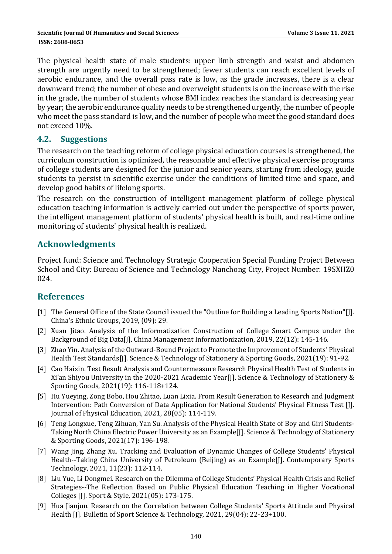The physical health state of male students: upper limb strength and waist and abdomen strength are urgently need to be strengthened; fewer students can reach excellent levels of aerobic endurance, and the overall pass rate is low, as the grade increases, there is a clear downward trend; the number of obese and overweight students is on the increase with the rise in the grade, the number of students whose BMI index reaches the standard is decreasing year by year; the aerobic endurance quality needs to be strengthened urgently, the number of people who meet the pass standard is low, and the number of people who meet the good standard does not exceed 10%.

#### **4.2. Suggestions**

The research on the teaching reform of college physical education courses is strengthened, the curriculum construction is optimized, the reasonable and effective physical exercise programs of college students are designed for the junior and senior years, starting from ideology, guide students to persist in scientific exercise under the conditions of limited time and space, and develop good habits of lifelong sports.

The research on the construction of intelligent management platform of college physical education teaching information is actively carried out under the perspective of sports power, the intelligent management platform of students' physical health is built, and real-time online monitoring of students' physical health is realized.

# **Acknowledgments**

Project fund: Science and Technology Strategic Cooperation Special Funding Project Between School and City: Bureau of Science and Technology Nanchong City, Project Number: 19SXHZ0 024. 

# **References**

- [1] The General Office of the State Council issued the "Outline for Building a Leading Sports Nation"[J]. China's Ethnic Groups, 2019, (09): 29.
- [2] Xuan Jitao. Analysis of the Informatization Construction of College Smart Campus under the Background of Big Data[J]. China Management Informationization, 2019, 22(12): 145-146.
- [3] Zhao Yin. Analysis of the Outward-Bound Project to Promote the Improvement of Students' Physical Health Test Standards[J]. Science & Technology of Stationery & Sporting Goods, 2021(19): 91-92.
- [4] Cao Haixin. Test Result Analysis and Countermeasure Research Physical Health Test of Students in Xi'an Shiyou University in the 2020-2021 Academic Year[J]. Science & Technology of Stationery & Sporting Goods, 2021(19): 116-118+124.
- [5] Hu Yueying, Zong Bobo, Hou Zhitao, Luan Lixia. From Result Generation to Research and Judgment Intervention: Path Conversion of Data Application for National Students' Physical Fitness Test [J]. Journal of Physical Education, 2021, 28(05): 114-119.
- [6] Teng Longxue, Teng Zihuan, Yan Su. Analysis of the Physical Health State of Boy and Girl Students-Taking North China Electric Power University as an Example[J]. Science & Technology of Stationery & Sporting Goods, 2021(17): 196‐198.
- [7] Wang Jing, Zhang Xu. Tracking and Evaluation of Dynamic Changes of College Students' Physical Health--Taking China University of Petroleum (Beijing) as an Example[J]. Contemporary Sports Technology, 2021, 11(23): 112-114.
- [8] Liu Yue, Li Dongmei. Research on the Dilemma of College Students' Physical Health Crisis and Relief Strategies--The Reflection Based on Public Physical Education Teaching in Higher Vocational Colleges [J]. Sport & Style, 2021(05): 173-175.
- [9] Hua Jianjun. Research on the Correlation between College Students' Sports Attitude and Physical Health [J]. Bulletin of Sport Science & Technology, 2021, 29(04):  $22-23+100$ .